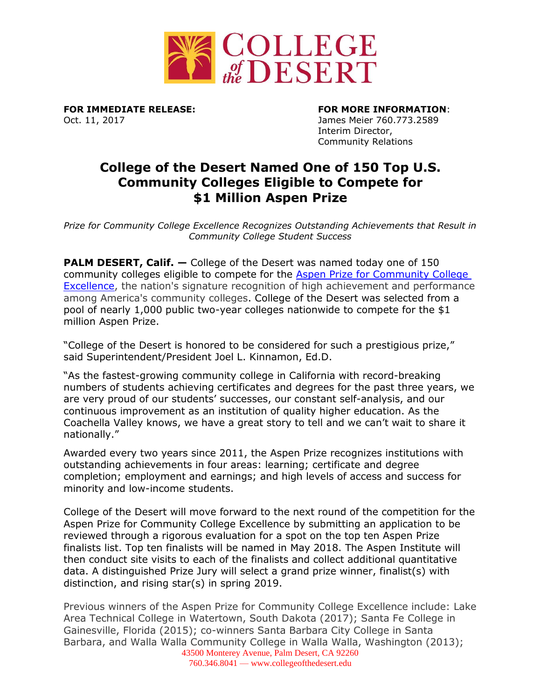

Oct. 11, 2017 James Meier 760.773.2589

**FOR IMMEDIATE RELEASE: FOR MORE INFORMATION**:

Interim Director, Community Relations

## **College of the Desert Named One of 150 Top U.S. Community Colleges Eligible to Compete for \$1 Million Aspen Prize**

*Prize for Community College Excellence Recognizes Outstanding Achievements that Result in Community College Student Success*

**PALM DESERT, Calif. –** College of the Desert was named today one of 150 community colleges eligible to compete for the [Aspen Prize for Community College](http://highered.aspeninstitute.org/aspen-prize/)  [Excellence,](http://highered.aspeninstitute.org/aspen-prize/) the nation's signature recognition of high achievement and performance among America's community colleges. College of the Desert was selected from a pool of nearly 1,000 public two-year colleges nationwide to compete for the \$1 million Aspen Prize.

"College of the Desert is honored to be considered for such a prestigious prize," said Superintendent/President Joel L. Kinnamon, Ed.D.

"As the fastest-growing community college in California with record-breaking numbers of students achieving certificates and degrees for the past three years, we are very proud of our students' successes, our constant self-analysis, and our continuous improvement as an institution of quality higher education. As the Coachella Valley knows, we have a great story to tell and we can't wait to share it nationally."

Awarded every two years since 2011, the Aspen Prize recognizes institutions with outstanding achievements in four areas: learning; certificate and degree completion; employment and earnings; and high levels of access and success for minority and low-income students.

College of the Desert will move forward to the next round of the competition for the Aspen Prize for Community College Excellence by submitting an application to be reviewed through a rigorous evaluation for a spot on the top ten Aspen Prize finalists list. Top ten finalists will be named in May 2018. The Aspen Institute will then conduct site visits to each of the finalists and collect additional quantitative data. A distinguished Prize Jury will select a grand prize winner, finalist(s) with distinction, and rising star(s) in spring 2019.

43500 Monterey Avenue, Palm Desert, CA 92260 Previous winners of the Aspen Prize for Community College Excellence include: Lake Area Technical College in Watertown, South Dakota (2017); Santa Fe College in Gainesville, Florida (2015); co-winners Santa Barbara City College in Santa Barbara, and Walla Walla Community College in Walla Walla, Washington (2013);